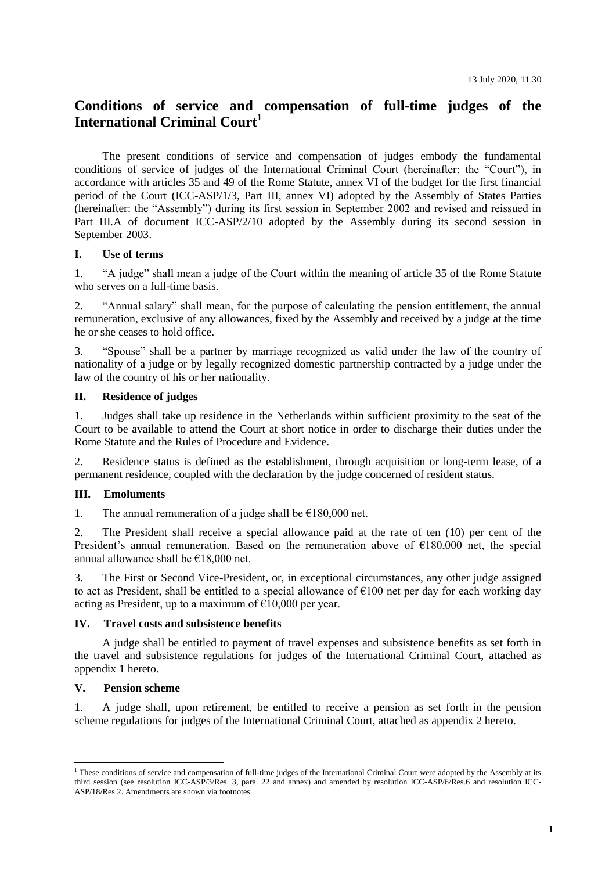# **Conditions of service and compensation of full-time judges of the International Criminal Court<sup>1</sup>**

The present conditions of service and compensation of judges embody the fundamental conditions of service of judges of the International Criminal Court (hereinafter: the "Court"), in accordance with articles 35 and 49 of the Rome Statute, annex VI of the budget for the first financial period of the Court (ICC-ASP/1/3, Part III, annex VI) adopted by the Assembly of States Parties (hereinafter: the "Assembly") during its first session in September 2002 and revised and reissued in Part III.A of document ICC-ASP/2/10 adopted by the Assembly during its second session in September 2003.

# **I. Use of terms**

1. "A judge" shall mean a judge of the Court within the meaning of article 35 of the Rome Statute who serves on a full-time basis.

2. "Annual salary" shall mean, for the purpose of calculating the pension entitlement, the annual remuneration, exclusive of any allowances, fixed by the Assembly and received by a judge at the time he or she ceases to hold office.

3. "Spouse" shall be a partner by marriage recognized as valid under the law of the country of nationality of a judge or by legally recognized domestic partnership contracted by a judge under the law of the country of his or her nationality.

#### **II. Residence of judges**

1. Judges shall take up residence in the Netherlands within sufficient proximity to the seat of the Court to be available to attend the Court at short notice in order to discharge their duties under the Rome Statute and the Rules of Procedure and Evidence.

2. Residence status is defined as the establishment, through acquisition or long-term lease, of a permanent residence, coupled with the declaration by the judge concerned of resident status.

## **III. Emoluments**

1. The annual remuneration of a judge shall be  $\epsilon$ 180,000 net.

2. The President shall receive a special allowance paid at the rate of ten (10) per cent of the President's annual remuneration. Based on the remuneration above of  $\epsilon$ 180,000 net, the special annual allowance shall be €18,000 net.

3. The First or Second Vice-President, or, in exceptional circumstances, any other judge assigned to act as President, shall be entitled to a special allowance of  $\epsilon$ 100 net per day for each working day acting as President, up to a maximum of  $\epsilon$ 10,000 per year.

#### **IV. Travel costs and subsistence benefits**

A judge shall be entitled to payment of travel expenses and subsistence benefits as set forth in the travel and subsistence regulations for judges of the International Criminal Court, attached as appendix 1 hereto.

#### **V. Pension scheme**

-

1. A judge shall, upon retirement, be entitled to receive a pension as set forth in the pension scheme regulations for judges of the International Criminal Court, attached as appendix 2 hereto.

<sup>&</sup>lt;sup>1</sup> These conditions of service and compensation of full-time judges of the International Criminal Court were adopted by the Assembly at its third session (see resolution ICC-ASP/3/Res. 3, para. 22 and annex) and amended by resolution ICC-ASP/6/Res.6 and resolution ICC-ASP/18/Res.2. Amendments are shown via footnotes.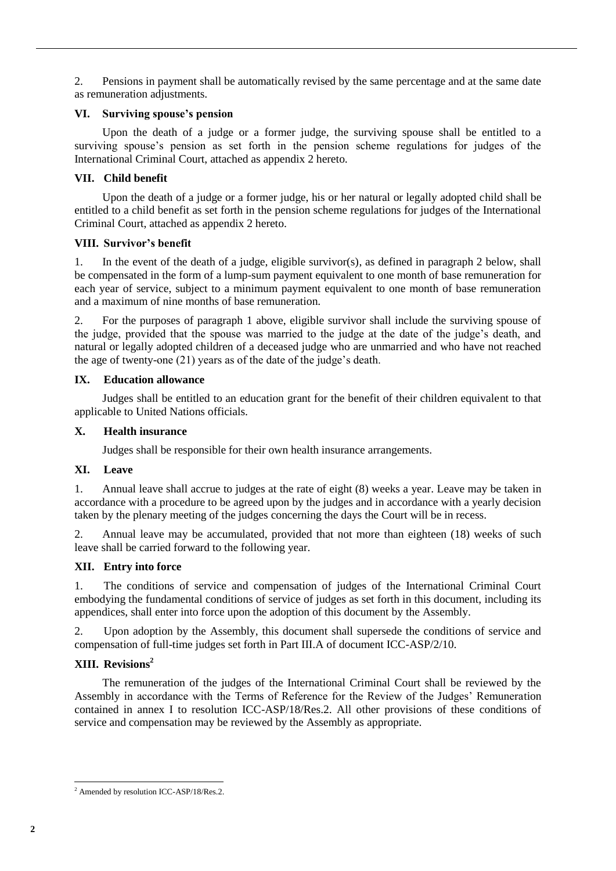2. Pensions in payment shall be automatically revised by the same percentage and at the same date as remuneration adjustments.

## **VI. Surviving spouse's pension**

Upon the death of a judge or a former judge, the surviving spouse shall be entitled to a surviving spouse's pension as set forth in the pension scheme regulations for judges of the International Criminal Court, attached as appendix 2 hereto.

# **VII. Child benefit**

Upon the death of a judge or a former judge, his or her natural or legally adopted child shall be entitled to a child benefit as set forth in the pension scheme regulations for judges of the International Criminal Court, attached as appendix 2 hereto.

# **VIII. Survivor's benefit**

1. In the event of the death of a judge, eligible survivor(s), as defined in paragraph 2 below, shall be compensated in the form of a lump-sum payment equivalent to one month of base remuneration for each year of service, subject to a minimum payment equivalent to one month of base remuneration and a maximum of nine months of base remuneration.

2. For the purposes of paragraph 1 above, eligible survivor shall include the surviving spouse of the judge, provided that the spouse was married to the judge at the date of the judge's death, and natural or legally adopted children of a deceased judge who are unmarried and who have not reached the age of twenty-one (21) years as of the date of the judge's death.

# **IX. Education allowance**

Judges shall be entitled to an education grant for the benefit of their children equivalent to that applicable to United Nations officials.

# **X. Health insurance**

Judges shall be responsible for their own health insurance arrangements.

# **XI. Leave**

1. Annual leave shall accrue to judges at the rate of eight (8) weeks a year. Leave may be taken in accordance with a procedure to be agreed upon by the judges and in accordance with a yearly decision taken by the plenary meeting of the judges concerning the days the Court will be in recess.

2. Annual leave may be accumulated, provided that not more than eighteen (18) weeks of such leave shall be carried forward to the following year.

# **XII. Entry into force**

1. The conditions of service and compensation of judges of the International Criminal Court embodying the fundamental conditions of service of judges as set forth in this document, including its appendices, shall enter into force upon the adoption of this document by the Assembly.

2. Upon adoption by the Assembly, this document shall supersede the conditions of service and compensation of full-time judges set forth in Part III.A of document ICC-ASP/2/10.

# **XIII. Revisions<sup>2</sup>**

The remuneration of the judges of the International Criminal Court shall be reviewed by the Assembly in accordance with the Terms of Reference for the Review of the Judges' Remuneration contained in annex I to resolution ICC-ASP/18/Res.2. All other provisions of these conditions of service and compensation may be reviewed by the Assembly as appropriate.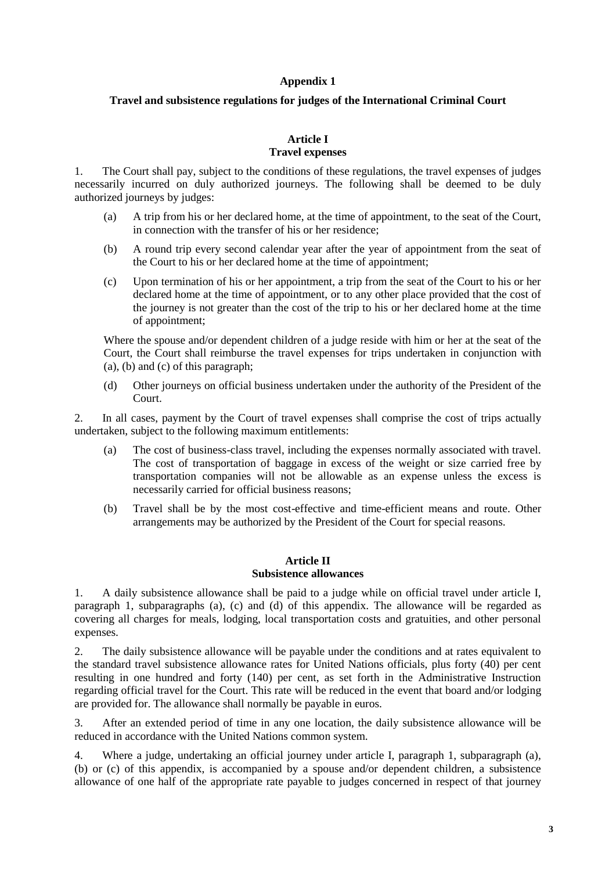## **Appendix 1**

## **Travel and subsistence regulations for judges of the International Criminal Court**

#### **Article I Travel expenses**

1. The Court shall pay, subject to the conditions of these regulations, the travel expenses of judges necessarily incurred on duly authorized journeys. The following shall be deemed to be duly authorized journeys by judges:

- (a) A trip from his or her declared home, at the time of appointment, to the seat of the Court, in connection with the transfer of his or her residence;
- (b) A round trip every second calendar year after the year of appointment from the seat of the Court to his or her declared home at the time of appointment;
- (c) Upon termination of his or her appointment, a trip from the seat of the Court to his or her declared home at the time of appointment, or to any other place provided that the cost of the journey is not greater than the cost of the trip to his or her declared home at the time of appointment;

Where the spouse and/or dependent children of a judge reside with him or her at the seat of the Court, the Court shall reimburse the travel expenses for trips undertaken in conjunction with (a), (b) and (c) of this paragraph;

(d) Other journeys on official business undertaken under the authority of the President of the Court.

2. In all cases, payment by the Court of travel expenses shall comprise the cost of trips actually undertaken, subject to the following maximum entitlements:

- (a) The cost of business-class travel, including the expenses normally associated with travel. The cost of transportation of baggage in excess of the weight or size carried free by transportation companies will not be allowable as an expense unless the excess is necessarily carried for official business reasons;
- (b) Travel shall be by the most cost-effective and time-efficient means and route. Other arrangements may be authorized by the President of the Court for special reasons.

## **Article II Subsistence allowances**

1. A daily subsistence allowance shall be paid to a judge while on official travel under article I, paragraph 1, subparagraphs (a), (c) and (d) of this appendix. The allowance will be regarded as covering all charges for meals, lodging, local transportation costs and gratuities, and other personal expenses.

2. The daily subsistence allowance will be payable under the conditions and at rates equivalent to the standard travel subsistence allowance rates for United Nations officials, plus forty (40) per cent resulting in one hundred and forty (140) per cent, as set forth in the Administrative Instruction regarding official travel for the Court. This rate will be reduced in the event that board and/or lodging are provided for. The allowance shall normally be payable in euros.

3. After an extended period of time in any one location, the daily subsistence allowance will be reduced in accordance with the United Nations common system.

4. Where a judge, undertaking an official journey under article I, paragraph 1, subparagraph (a), (b) or (c) of this appendix, is accompanied by a spouse and/or dependent children, a subsistence allowance of one half of the appropriate rate payable to judges concerned in respect of that journey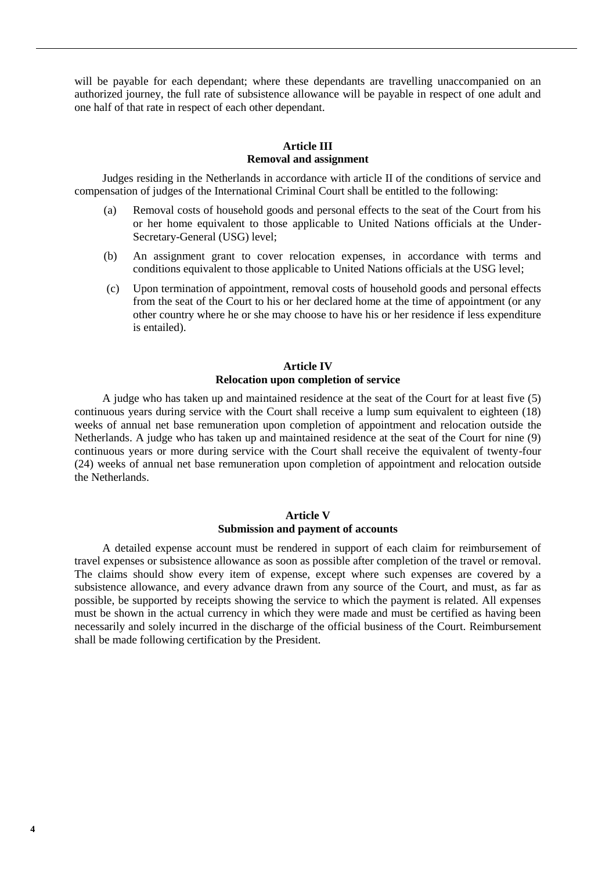will be payable for each dependant; where these dependants are travelling unaccompanied on an authorized journey, the full rate of subsistence allowance will be payable in respect of one adult and one half of that rate in respect of each other dependant.

## **Article III Removal and assignment**

Judges residing in the Netherlands in accordance with article II of the conditions of service and compensation of judges of the International Criminal Court shall be entitled to the following:

- (a) Removal costs of household goods and personal effects to the seat of the Court from his or her home equivalent to those applicable to United Nations officials at the Under-Secretary-General (USG) level;
- (b) An assignment grant to cover relocation expenses, in accordance with terms and conditions equivalent to those applicable to United Nations officials at the USG level;
- (c) Upon termination of appointment, removal costs of household goods and personal effects from the seat of the Court to his or her declared home at the time of appointment (or any other country where he or she may choose to have his or her residence if less expenditure is entailed).

## **Article IV Relocation upon completion of service**

A judge who has taken up and maintained residence at the seat of the Court for at least five (5) continuous years during service with the Court shall receive a lump sum equivalent to eighteen (18) weeks of annual net base remuneration upon completion of appointment and relocation outside the Netherlands. A judge who has taken up and maintained residence at the seat of the Court for nine (9) continuous years or more during service with the Court shall receive the equivalent of twenty-four (24) weeks of annual net base remuneration upon completion of appointment and relocation outside the Netherlands.

## **Article V Submission and payment of accounts**

A detailed expense account must be rendered in support of each claim for reimbursement of travel expenses or subsistence allowance as soon as possible after completion of the travel or removal. The claims should show every item of expense, except where such expenses are covered by a subsistence allowance, and every advance drawn from any source of the Court, and must, as far as possible, be supported by receipts showing the service to which the payment is related. All expenses must be shown in the actual currency in which they were made and must be certified as having been necessarily and solely incurred in the discharge of the official business of the Court. Reimbursement shall be made following certification by the President.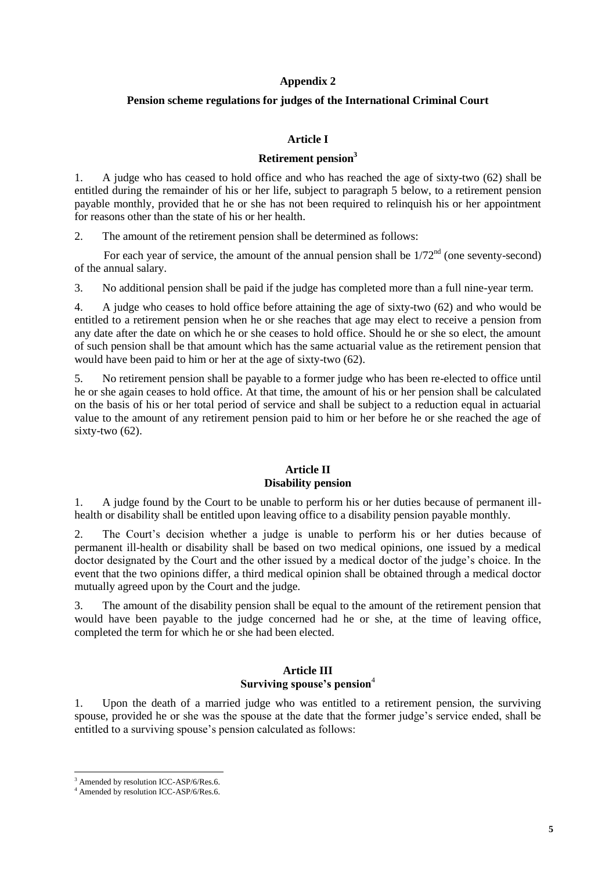#### **Appendix 2**

## **Pension scheme regulations for judges of the International Criminal Court**

#### **Article I**

#### **Retirement pension<sup>3</sup>**

1. A judge who has ceased to hold office and who has reached the age of sixty-two (62) shall be entitled during the remainder of his or her life, subject to paragraph 5 below, to a retirement pension payable monthly, provided that he or she has not been required to relinquish his or her appointment for reasons other than the state of his or her health.

2. The amount of the retirement pension shall be determined as follows:

For each year of service, the amount of the annual pension shall be  $1/72<sup>nd</sup>$  (one seventy-second) of the annual salary.

3. No additional pension shall be paid if the judge has completed more than a full nine-year term.

4. A judge who ceases to hold office before attaining the age of sixty-two (62) and who would be entitled to a retirement pension when he or she reaches that age may elect to receive a pension from any date after the date on which he or she ceases to hold office. Should he or she so elect, the amount of such pension shall be that amount which has the same actuarial value as the retirement pension that would have been paid to him or her at the age of sixty-two (62).

5. No retirement pension shall be payable to a former judge who has been re-elected to office until he or she again ceases to hold office. At that time, the amount of his or her pension shall be calculated on the basis of his or her total period of service and shall be subject to a reduction equal in actuarial value to the amount of any retirement pension paid to him or her before he or she reached the age of sixty-two (62).

#### **Article II Disability pension**

1. A judge found by the Court to be unable to perform his or her duties because of permanent illhealth or disability shall be entitled upon leaving office to a disability pension payable monthly.

2. The Court's decision whether a judge is unable to perform his or her duties because of permanent ill-health or disability shall be based on two medical opinions, one issued by a medical doctor designated by the Court and the other issued by a medical doctor of the judge's choice. In the event that the two opinions differ, a third medical opinion shall be obtained through a medical doctor mutually agreed upon by the Court and the judge.

3. The amount of the disability pension shall be equal to the amount of the retirement pension that would have been payable to the judge concerned had he or she, at the time of leaving office, completed the term for which he or she had been elected.

#### **Article III Surviving spouse's pension**<sup>4</sup>

1. Upon the death of a married judge who was entitled to a retirement pension, the surviving spouse, provided he or she was the spouse at the date that the former judge's service ended, shall be entitled to a surviving spouse's pension calculated as follows:

1

<sup>&</sup>lt;sup>3</sup> Amended by resolution ICC-ASP/6/Res.6.

<sup>4</sup> Amended by resolution ICC-ASP/6/Res.6.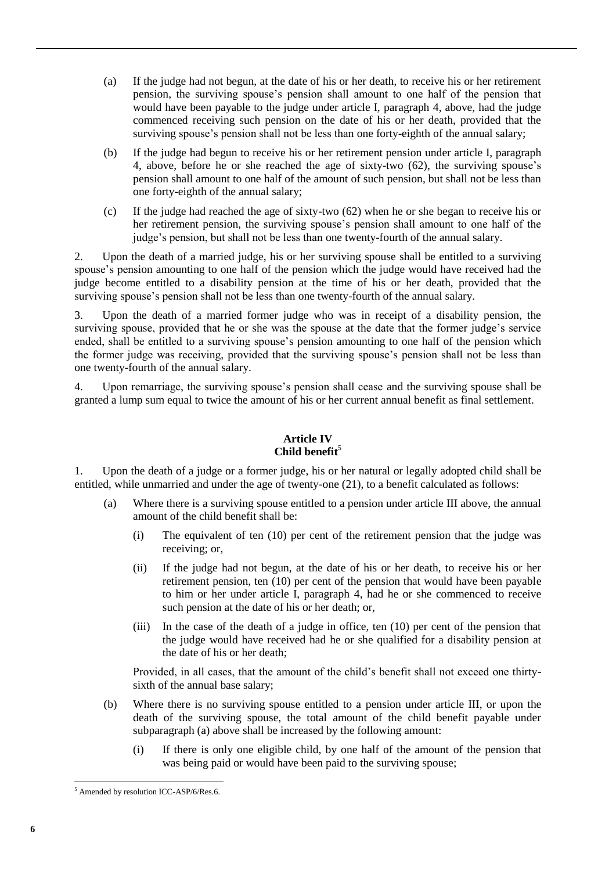- (a) If the judge had not begun, at the date of his or her death, to receive his or her retirement pension, the surviving spouse's pension shall amount to one half of the pension that would have been payable to the judge under article I, paragraph 4, above, had the judge commenced receiving such pension on the date of his or her death, provided that the surviving spouse's pension shall not be less than one forty-eighth of the annual salary;
- (b) If the judge had begun to receive his or her retirement pension under article I, paragraph 4, above, before he or she reached the age of sixty-two (62), the surviving spouse's pension shall amount to one half of the amount of such pension, but shall not be less than one forty-eighth of the annual salary;
- (c) If the judge had reached the age of sixty-two (62) when he or she began to receive his or her retirement pension, the surviving spouse's pension shall amount to one half of the judge's pension, but shall not be less than one twenty-fourth of the annual salary.

2. Upon the death of a married judge, his or her surviving spouse shall be entitled to a surviving spouse's pension amounting to one half of the pension which the judge would have received had the judge become entitled to a disability pension at the time of his or her death, provided that the surviving spouse's pension shall not be less than one twenty-fourth of the annual salary.

3. Upon the death of a married former judge who was in receipt of a disability pension, the surviving spouse, provided that he or she was the spouse at the date that the former judge's service ended, shall be entitled to a surviving spouse's pension amounting to one half of the pension which the former judge was receiving, provided that the surviving spouse's pension shall not be less than one twenty-fourth of the annual salary.

4. Upon remarriage, the surviving spouse's pension shall cease and the surviving spouse shall be granted a lump sum equal to twice the amount of his or her current annual benefit as final settlement.

# **Article IV** Child benefit<sup>5</sup>

1. Upon the death of a judge or a former judge, his or her natural or legally adopted child shall be entitled, while unmarried and under the age of twenty-one (21), to a benefit calculated as follows:

- (a) Where there is a surviving spouse entitled to a pension under article III above, the annual amount of the child benefit shall be:
	- (i) The equivalent of ten (10) per cent of the retirement pension that the judge was receiving; or,
	- (ii) If the judge had not begun, at the date of his or her death, to receive his or her retirement pension, ten (10) per cent of the pension that would have been payable to him or her under article I, paragraph 4, had he or she commenced to receive such pension at the date of his or her death; or,
	- (iii) In the case of the death of a judge in office, ten (10) per cent of the pension that the judge would have received had he or she qualified for a disability pension at the date of his or her death;

Provided, in all cases, that the amount of the child's benefit shall not exceed one thirtysixth of the annual base salary;

- (b) Where there is no surviving spouse entitled to a pension under article III, or upon the death of the surviving spouse, the total amount of the child benefit payable under subparagraph (a) above shall be increased by the following amount:
	- (i) If there is only one eligible child, by one half of the amount of the pension that was being paid or would have been paid to the surviving spouse;

<sup>1</sup> <sup>5</sup> Amended by resolution ICC-ASP/6/Res.6.